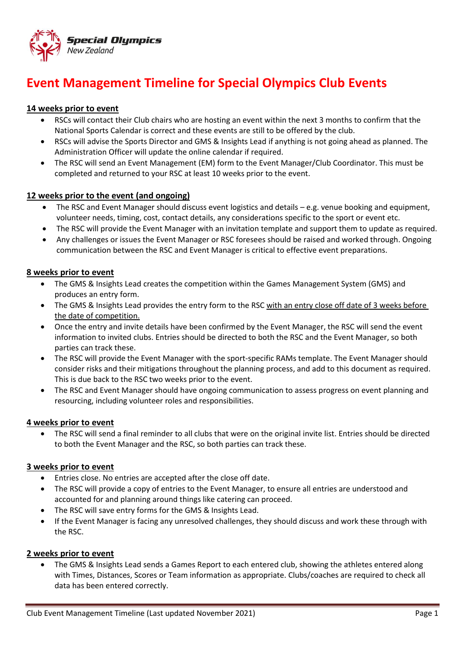

# **Event Management Timeline for Special Olympics Club Events**

# **14 weeks prior to event**

- RSCs will contact their Club chairs who are hosting an event within the next 3 months to confirm that the National Sports Calendar is correct and these events are still to be offered by the club.
- RSCs will advise the Sports Director and GMS & Insights Lead if anything is not going ahead as planned. The Administration Officer will update the online calendar if required.
- The RSC will send an Event Management (EM) form to the Event Manager/Club Coordinator. This must be completed and returned to your RSC at least 10 weeks prior to the event.

## **12 weeks prior to the event (and ongoing)**

- The RSC and Event Manager should discuss event logistics and details e.g. venue booking and equipment, volunteer needs, timing, cost, contact details, any considerations specific to the sport or event etc.
- The RSC will provide the Event Manager with an invitation template and support them to update as required.
- Any challenges or issues the Event Manager or RSC foresees should be raised and worked through. Ongoing communication between the RSC and Event Manager is critical to effective event preparations.

## **8 weeks prior to event**

- The GMS & Insights Lead creates the competition within the Games Management System (GMS) and produces an entry form.
- The GMS & Insights Lead provides the entry form to the RSC with an entry close off date of 3 weeks before the date of competition.
- Once the entry and invite details have been confirmed by the Event Manager, the RSC will send the event information to invited clubs. Entries should be directed to both the RSC and the Event Manager, so both parties can track these.
- The RSC will provide the Event Manager with the sport-specific RAMs template. The Event Manager should consider risks and their mitigations throughout the planning process, and add to this document as required. This is due back to the RSC two weeks prior to the event.
- The RSC and Event Manager should have ongoing communication to assess progress on event planning and resourcing, including volunteer roles and responsibilities.

#### **4 weeks prior to event**

• The RSC will send a final reminder to all clubs that were on the original invite list. Entries should be directed to both the Event Manager and the RSC, so both parties can track these.

#### **3 weeks prior to event**

- Entries close. No entries are accepted after the close off date.
- The RSC will provide a copy of entries to the Event Manager, to ensure all entries are understood and accounted for and planning around things like catering can proceed.
- The RSC will save entry forms for the GMS & Insights Lead.
- If the Event Manager is facing any unresolved challenges, they should discuss and work these through with the RSC.

#### **2 weeks prior to event**

• The GMS & Insights Lead sends a Games Report to each entered club, showing the athletes entered along with Times, Distances, Scores or Team information as appropriate. Clubs/coaches are required to check all data has been entered correctly.